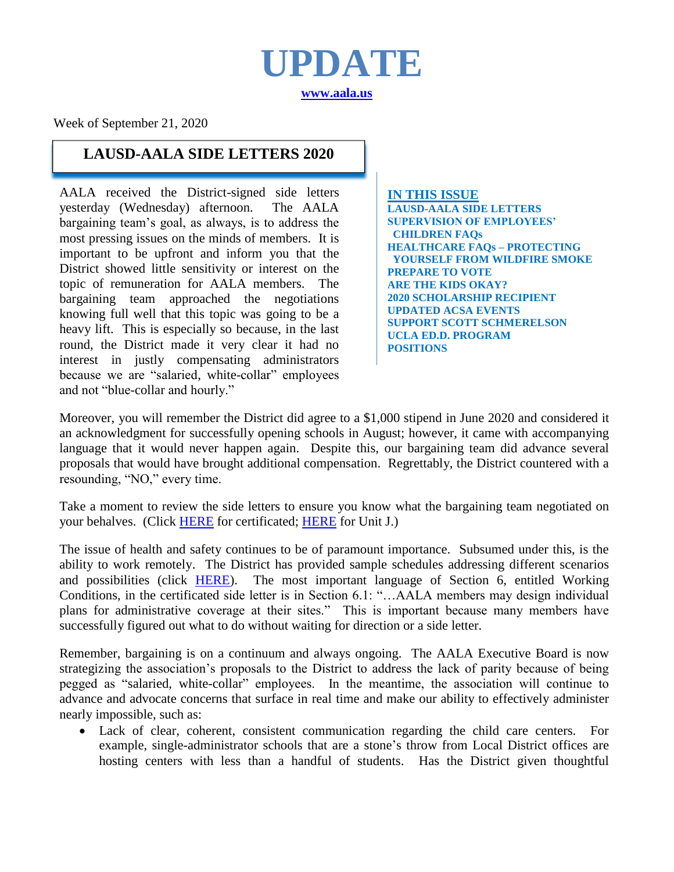**UPDATE [www.aala.us](http://www.aala.us/)**

Week of September 21, 2020

## **LAUSD-AALA SIDE LETTERS 2020**

AALA received the District-signed side letters yesterday (Wednesday) afternoon. The AALA bargaining team's goal, as always, is to address the most pressing issues on the minds of members. It is important to be upfront and inform you that the District showed little sensitivity or interest on the topic of remuneration for AALA members. The bargaining team approached the negotiations knowing full well that this topic was going to be a heavy lift. This is especially so because, in the last round, the District made it very clear it had no interest in justly compensating administrators because we are "salaried, white-collar" employees and not "blue-collar and hourly."

**IN THIS ISSUE LAUSD-AALA SIDE LETTERS SUPERVISION OF EMPLOYEES' CHILDREN FAQs HEALTHCARE FAQs – PROTECTING YOURSELF FROM WILDFIRE SMOKE PREPARE TO VOTE ARE THE KIDS OKAY? 2020 SCHOLARSHIP RECIPIENT UPDATED ACSA EVENTS SUPPORT SCOTT SCHMERELSON UCLA ED.D. PROGRAM POSITIONS**

Moreover, you will remember the District did agree to a \$1,000 stipend in June 2020 and considered it an acknowledgment for successfully opening schools in August; however, it came with accompanying language that it would never happen again. Despite this, our bargaining team did advance several proposals that would have brought additional compensation. Regrettably, the District countered with a resounding, "NO," every time.

Take a moment to review the side letters to ensure you know what the bargaining team negotiated on your behalves. (Click [HERE](http://www.aala.us/docs/2020/09/LAUSD-AALA-Return-to-Instruction-for-the-2020-2021-School-Year-Sidelette.._-2.pdf) for certificated; [HERE](http://www.aala.us/docs/2020/09/LAUSD-AALA-Unit-J-COVID-19-Negotiations-2020-2021-Sideletter-09.10.2020.._.pdf) for Unit J.)

The issue of health and safety continues to be of paramount importance. Subsumed under this, is the ability to work remotely. The District has provided sample schedules addressing different scenarios and possibilities (click [HERE\)](http://www.aala.us/docs/2020/09/SAMPLE-SCHEDULES.pdf). The most important language of Section 6, entitled Working Conditions, in the certificated side letter is in Section 6.1: "…AALA members may design individual plans for administrative coverage at their sites." This is important because many members have successfully figured out what to do without waiting for direction or a side letter.

Remember, bargaining is on a continuum and always ongoing. The AALA Executive Board is now strategizing the association's proposals to the District to address the lack of parity because of being pegged as "salaried, white-collar" employees. In the meantime, the association will continue to advance and advocate concerns that surface in real time and make our ability to effectively administer nearly impossible, such as:

 Lack of clear, coherent, consistent communication regarding the child care centers. For example, single-administrator schools that are a stone's throw from Local District offices are hosting centers with less than a handful of students. Has the District given thoughtful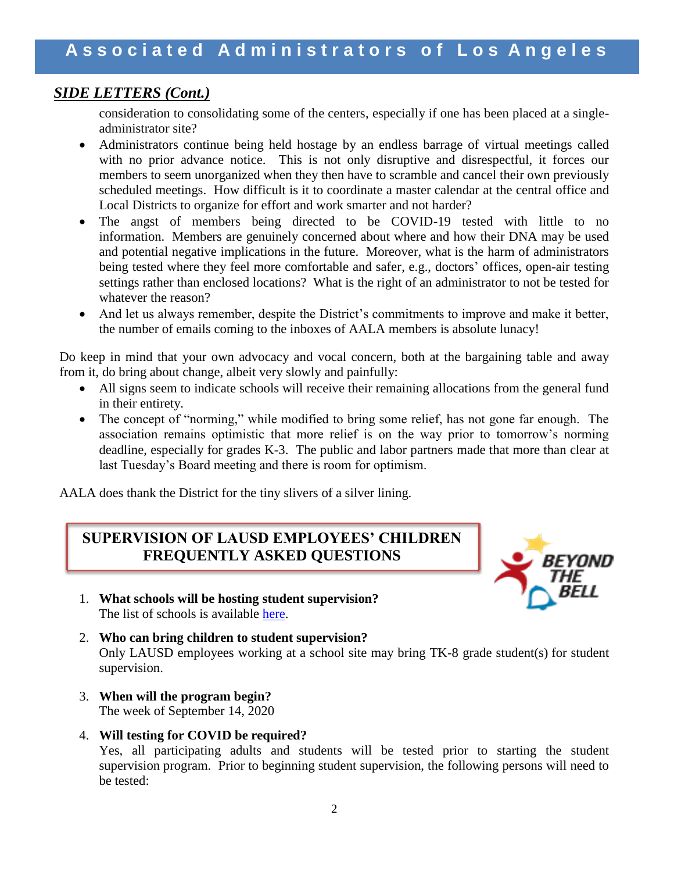## *SIDE LETTERS (Cont.)*

consideration to consolidating some of the centers, especially if one has been placed at a singleadministrator site?

- Administrators continue being held hostage by an endless barrage of virtual meetings called with no prior advance notice. This is not only disruptive and disrespectful, it forces our members to seem unorganized when they then have to scramble and cancel their own previously scheduled meetings. How difficult is it to coordinate a master calendar at the central office and Local Districts to organize for effort and work smarter and not harder?
- The angst of members being directed to be COVID-19 tested with little to no information. Members are genuinely concerned about where and how their DNA may be used and potential negative implications in the future. Moreover, what is the harm of administrators being tested where they feel more comfortable and safer, e.g., doctors' offices, open-air testing settings rather than enclosed locations? What is the right of an administrator to not be tested for whatever the reason?
- And let us always remember, despite the District's commitments to improve and make it better, the number of emails coming to the inboxes of AALA members is absolute lunacy!

Do keep in mind that your own advocacy and vocal concern, both at the bargaining table and away from it, do bring about change, albeit very slowly and painfully:

- All signs seem to indicate schools will receive their remaining allocations from the general fund in their entirety.
- The concept of "norming," while modified to bring some relief, has not gone far enough. The association remains optimistic that more relief is on the way prior to tomorrow's norming deadline, especially for grades K-3. The public and labor partners made that more than clear at last Tuesday's Board meeting and there is room for optimism.

AALA does thank the District for the tiny slivers of a silver lining.

## **SUPERVISION OF LAUSD EMPLOYEES' CHILDREN FREQUENTLY ASKED QUESTIONS**



- 1. **What schools will be hosting student supervision?** The list of schools is available [here.](https://btb-lausd-ca.schoolloop.com/file/1574494009806/1574494003555/6646059279197057104.xlsx)
- 2. **Who can bring children to student supervision?** Only LAUSD employees working at a school site may bring TK-8 grade student(s) for student supervision.
- 3. **When will the program begin?** The week of September 14, 2020
- 4. **Will testing for COVID be required?** Yes, all participating adults and students will be tested prior to starting the student supervision program. Prior to beginning student supervision, the following persons will need to be tested: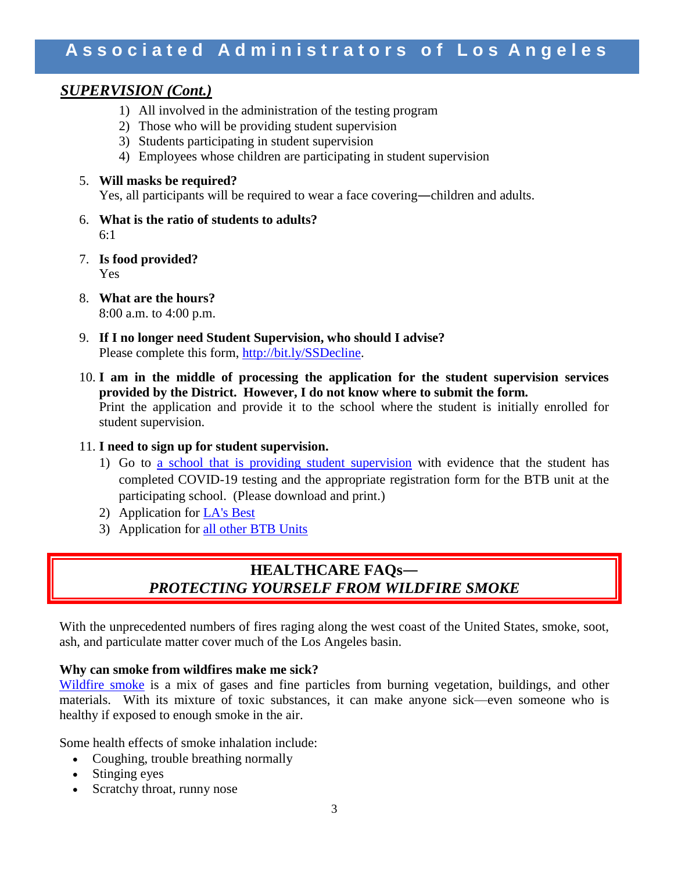## **A s s o c i a t e d A d m i n i s t r a t o r s o f L o s A n g e l e s**

## *SUPERVISION (Cont.)*

- 1) All involved in the administration of the testing program
- 2) Those who will be providing student supervision
- 3) Students participating in student supervision
- 4) Employees whose children are participating in student supervision

#### 5. **Will masks be required?**

Yes, all participants will be required to wear a face covering―children and adults.

- 6. **What is the ratio of students to adults?** 6:1
- 7. **Is food provided?** Yes
- 8. **What are the hours?** 8:00 a.m. to 4:00 p.m.
- 9. **If I no longer need Student Supervision, who should I advise?** Please complete this form, [http://bit.ly/SSDecline.](http://bit.ly/SSDecline)
- 10. **I am in the middle of processing the application for the student supervision services provided by the District. However, I do not know where to submit the form.** Print the application and provide it to the school where the student is initially enrolled for student supervision.
- 11. **I need to sign up for student supervision.**
	- 1) Go to [a school that is providing student supervision](https://btb-lausd-ca.schoolloop.com/file/1574494009806/1574494003555/6646059279197057104.xlsx) with evidence that the student has completed COVID-19 testing and the appropriate registration form for the BTB unit at the participating school. (Please download and print.)
	- 2) Application for [LA's Best](http://www.lasbest.org/)
	- 3) Application for all other [BTB Units](https://btb-lausd-ca.schoolloop.com/file/1574494009806/1574494003555/5873715017618201046.pdf)

## **HEALTHCARE FAQs―** *PROTECTING YOURSELF FROM WILDFIRE SMOKE*

With the unprecedented numbers of fires raging along the west coast of the United States, smoke, soot, ash, and particulate matter cover much of the Los Angeles basin.

#### **Why can smoke from wildfires make me sick?**

[Wildfire smoke](https://emergency.cdc.gov/disasters/wildfires/smoke.asp) is a mix of gases and fine particles from burning vegetation, buildings, and other materials. With its mixture of toxic substances, it can make anyone sick—even someone who is healthy if exposed to enough smoke in the air.

Some health effects of smoke inhalation include:

- Coughing, trouble breathing normally
- Stinging eyes
- Scratchy throat, runny nose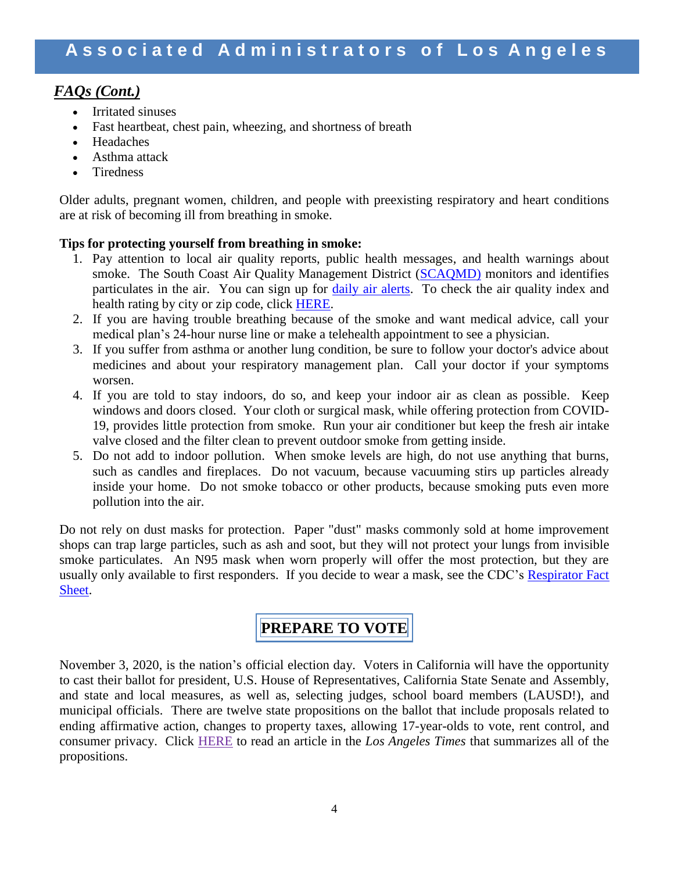## *FAQs (Cont.)*

- Irritated sinuses
- Fast heartbeat, chest pain, wheezing, and shortness of breath
- Headaches
- Asthma attack
- **Tiredness**

Older adults, pregnant women, children, and people with preexisting respiratory and heart conditions are at risk of becoming ill from breathing in smoke.

## **Tips for protecting yourself from breathing in smoke:**

- 1. Pay attention to local air quality reports, public health messages, and health warnings about smoke. The South Coast Air Quality Management District [\(SCAQMD\)](https://www.arcgis.com/apps/webappviewer/index.html?id=85c7770bac684749a631bd7b42eac1b7) monitors and identifies particulates in the air. You can sign up for [daily air alerts.](http://www.aqmd.gov/home/air-quality/air-alerts) To check the air quality index and health rating by city or zip code, click [HERE.](https://www.airnow.gov/?city=Los%20Angeles&state=CA&country=USA)
- 2. If you are having trouble breathing because of the smoke and want medical advice, call your medical plan's 24-hour nurse line or make a telehealth appointment to see a physician.
- 3. If you suffer from asthma or another lung condition, be sure to follow your doctor's advice about medicines and about your respiratory management plan. Call your doctor if your symptoms worsen.
- 4. If you are told to stay indoors, do so, and keep your indoor air as clean as possible. Keep windows and doors closed. Your cloth or surgical mask, while offering protection from COVID-19, provides little protection from smoke. Run your air conditioner but keep the fresh air intake valve closed and the filter clean to prevent outdoor smoke from getting inside.
- 5. Do not add to indoor pollution. When smoke levels are high, do not use anything that burns, such as candles and fireplaces. Do not vacuum, because vacuuming stirs up particles already inside your home. Do not smoke tobacco or other products, because smoking puts even more pollution into the air.

Do not rely on dust masks for protection. Paper "dust" masks commonly sold at home improvement shops can trap large particles, such as ash and soot, but they will not protect your lungs from invisible smoke particulates. An N95 mask when worn properly will offer the most protection, but they are usually only available to first responders. If you decide to wear a mask, see the CDC's [Respirator Fact](http://www.cdc.gov/niosh/docs/2003-144/)  [Sheet.](http://www.cdc.gov/niosh/docs/2003-144/)

## **PREPARE TO VOTE**

November 3, 2020, is the nation's official election day. Voters in California will have the opportunity to cast their ballot for president, U.S. House of Representatives, California State Senate and Assembly, and state and local measures, as well as, selecting judges, school board members (LAUSD!), and municipal officials. There are twelve state propositions on the ballot that include proposals related to ending affirmative action, changes to property taxes, allowing 17-year-olds to vote, rent control, and consumer privacy. Click [HERE](https://www.latimes.com/california/story/2020-07-01/propositions-on-california-november-2020-ballot) to read an article in the *Los Angeles Times* that summarizes all of the propositions.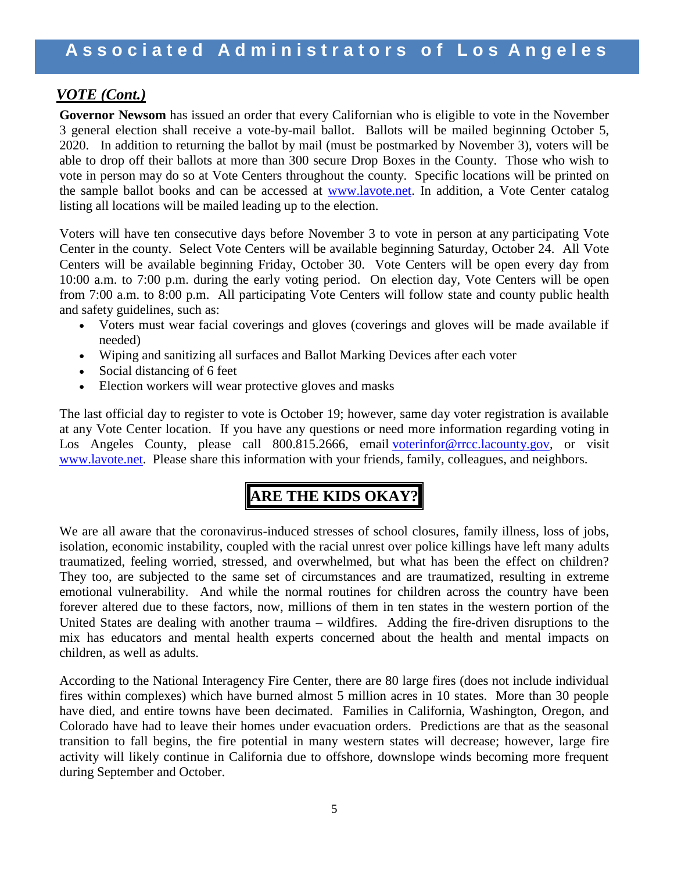## *VOTE (Cont.)*

**Governor Newsom** has issued an order that every Californian who is eligible to vote in the November 3 general election shall receive a vote-by-mail ballot. Ballots will be mailed beginning October 5, 2020. In addition to returning the ballot by mail (must be postmarked by November 3), voters will be able to drop off their ballots at more than 300 secure Drop Boxes in the County. Those who wish to vote in person may do so at Vote Centers throughout the county. Specific locations will be printed on the sample ballot books and can be accessed at [www.lavote.net.](http://www.lavote.net/) In addition, a Vote Center catalog listing all locations will be mailed leading up to the election.

Voters will have ten consecutive days before November 3 to vote in person at any participating Vote Center in the county. Select Vote Centers will be available beginning Saturday, October 24. All Vote Centers will be available beginning Friday, October 30. Vote Centers will be open every day from 10:00 a.m. to 7:00 p.m. during the early voting period. On election day, Vote Centers will be open from 7:00 a.m. to 8:00 p.m. All participating Vote Centers will follow state and county public health and safety guidelines, such as:

- Voters must wear facial coverings and gloves (coverings and gloves will be made available if needed)
- Wiping and sanitizing all surfaces and Ballot Marking Devices after each voter
- Social distancing of 6 feet
- Election workers will wear protective gloves and masks

The last official day to register to vote is October 19; however, same day voter registration is available at any Vote Center location. If you have any questions or need more information regarding voting in Los Angeles County, please call 800.815.2666, email [voterinfor@rrcc.lacounty.gov,](mailto:voterinfor@rrcc.lacounty.gov) or visit [www.lavote.net.](http://www.lavote.net/) Please share this information with your friends, family, colleagues, and neighbors.

## **ARE THE KIDS OKAY?**

We are all aware that the coronavirus-induced stresses of school closures, family illness, loss of jobs, isolation, economic instability, coupled with the racial unrest over police killings have left many adults traumatized, feeling worried, stressed, and overwhelmed, but what has been the effect on children? They too, are subjected to the same set of circumstances and are traumatized, resulting in extreme emotional vulnerability. And while the normal routines for children across the country have been forever altered due to these factors, now, millions of them in ten states in the western portion of the United States are dealing with another trauma – wildfires. Adding the fire-driven disruptions to the mix has educators and mental health experts concerned about the health and mental impacts on children, as well as adults.

According to the National Interagency Fire Center, there are 80 large fires (does not include individual fires within complexes) which have burned almost 5 million acres in 10 states. More than 30 people have died, and entire towns have been decimated. Families in California, Washington, Oregon, and Colorado have had to leave their homes under evacuation orders. Predictions are that as the seasonal transition to fall begins, the fire potential in many western states will decrease; however, large fire activity will likely continue in California due to offshore, downslope winds becoming more frequent during September and October.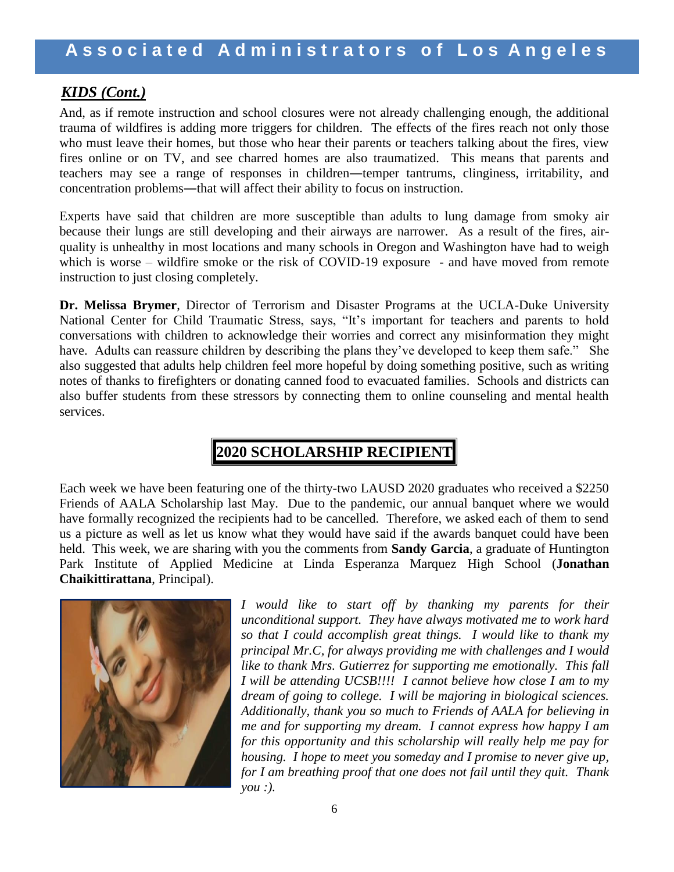## *KIDS (Cont.)*

And, as if remote instruction and school closures were not already challenging enough, the additional trauma of wildfires is adding more triggers for children. The effects of the fires reach not only those who must leave their homes, but those who hear their parents or teachers talking about the fires, view fires online or on TV, and see charred homes are also traumatized. This means that parents and teachers may see a range of responses in children―temper tantrums, clinginess, irritability, and concentration problems―that will affect their ability to focus on instruction.

Experts have said that children are more susceptible than adults to lung damage from smoky air because their lungs are still developing and their airways are narrower. As a result of the fires, airquality is unhealthy in most locations and many schools in Oregon and Washington have had to weigh which is worse – wildfire smoke or the risk of COVID-19 exposure - and have moved from remote instruction to just closing completely.

**Dr. Melissa Brymer**, Director of Terrorism and Disaster Programs at the UCLA-Duke University National Center for Child Traumatic Stress, says, "It's important for teachers and parents to hold conversations with children to acknowledge their worries and correct any misinformation they might have. Adults can reassure children by describing the plans they've developed to keep them safe." She also suggested that adults help children feel more hopeful by doing something positive, such as writing notes of thanks to firefighters or donating canned food to evacuated families. Schools and districts can also buffer students from these stressors by connecting them to online counseling and mental health services.

## **2020 SCHOLARSHIP RECIPIENT**

Each week we have been featuring one of the thirty-two LAUSD 2020 graduates who received a \$2250 Friends of AALA Scholarship last May. Due to the pandemic, our annual banquet where we would have formally recognized the recipients had to be cancelled. Therefore, we asked each of them to send us a picture as well as let us know what they would have said if the awards banquet could have been held. This week, we are sharing with you the comments from **Sandy Garcia**, a graduate of Huntington Park Institute of Applied Medicine at Linda Esperanza Marquez High School (**Jonathan Chaikittirattana**, Principal).



*I* would like to start off by thanking my parents for their *unconditional support. They have always motivated me to work hard so that I could accomplish great things. I would like to thank my principal Mr.C, for always providing me with challenges and I would like to thank Mrs. Gutierrez for supporting me emotionally. This fall I will be attending UCSB!!!! I cannot believe how close I am to my dream of going to college. I will be majoring in biological sciences. Additionally, thank you so much to Friends of AALA for believing in me and for supporting my dream. I cannot express how happy I am for this opportunity and this scholarship will really help me pay for housing. I hope to meet you someday and I promise to never give up, for I am breathing proof that one does not fail until they quit. Thank you :).*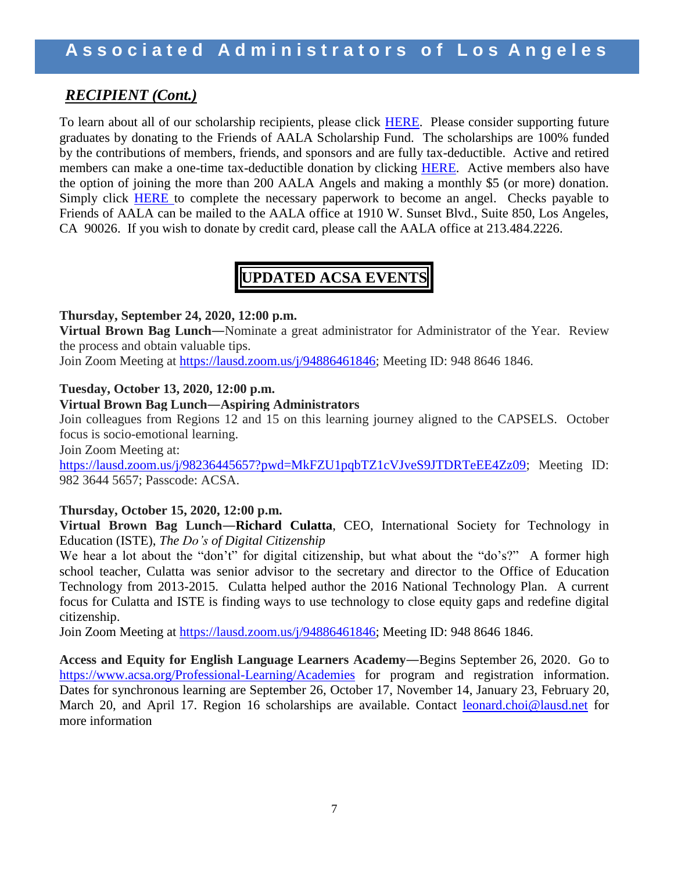## *RECIPIENT (Cont.)*

To learn about all of our scholarship recipients, please click [HERE.](http://www.aala.us/docs/2020/06/Program-2020-Scholalrship-Students.pdf) Please consider supporting future graduates by donating to the Friends of AALA Scholarship Fund. The scholarships are 100% funded by the contributions of members, friends, and sponsors and are fully tax-deductible. Active and retired members can make a one-time tax-deductible donation by clicking [HERE.](http://www.aala.us/friends-of-aala-fund-raising-letter/) Active members also have the option of joining the more than 200 AALA Angels and making a monthly \$5 (or more) donation. Simply click [HERE](http://www.aala.us/docs/2017/11/AALA-Angels-fillable-form.rev_.pdf) to complete the necessary paperwork to become an angel. Checks payable to Friends of AALA can be mailed to the AALA office at 1910 W. Sunset Blvd., Suite 850, Los Angeles, CA 90026. If you wish to donate by credit card, please call the AALA office at 213.484.2226.

## **UPDATED ACSA EVENTS**

#### **Thursday, September 24, 2020, 12:00 p.m.**

**Virtual Brown Bag Lunch―**Nominate a great administrator for Administrator of the Year. Review the process and obtain valuable tips.

Join Zoom Meeting at [https://lausd.zoom.us/j/94886461846;](https://lausd.zoom.us/j/94886461846) Meeting ID: 948 8646 1846.

## **Tuesday, October 13, 2020, 12:00 p.m.**

## **Virtual Brown Bag Lunch―Aspiring Administrators**

Join colleagues from Regions 12 and 15 on this learning journey aligned to the CAPSELS. October focus is socio-emotional learning.

Join Zoom Meeting at:

[https://lausd.zoom.us/j/98236445657?pwd=MkFZU1pqbTZ1cVJveS9JTDRTeEE4Zz09;](https://lausd.zoom.us/j/98236445657?pwd=MkFZU1pqbTZ1cVJveS9JTDRTeEE4Zz09) Meeting ID: 982 3644 5657; Passcode: ACSA.

## **Thursday, October 15, 2020, 12:00 p.m.**

**Virtual Brown Bag Lunch―Richard Culatta**, CEO, International Society for Technology in Education (ISTE), *The Do's of Digital Citizenship*

We hear a lot about the "don't" for digital citizenship, but what about the "do's?" A former high school teacher, Culatta was senior advisor to the secretary and director to the Office of Education Technology from 2013-2015. Culatta helped author the 2016 National Technology Plan. A current focus for Culatta and ISTE is finding ways to use technology to close equity gaps and redefine digital citizenship.

Join Zoom Meeting at [https://lausd.zoom.us/j/94886461846;](https://lausd.zoom.us/j/94886461846) Meeting ID: 948 8646 1846.

**Access and Equity for English Language Learners Academy―**Begins September 26, 2020. Go to <https://www.acsa.org/Professional-Learning/Academies> for program and registration information. Dates for synchronous learning are September 26, October 17, November 14, January 23, February 20, March 20, and April 17. Region 16 scholarships are available. Contact [leonard.choi@lausd.net](mailto:leonard.choi@lausd.net***) for more information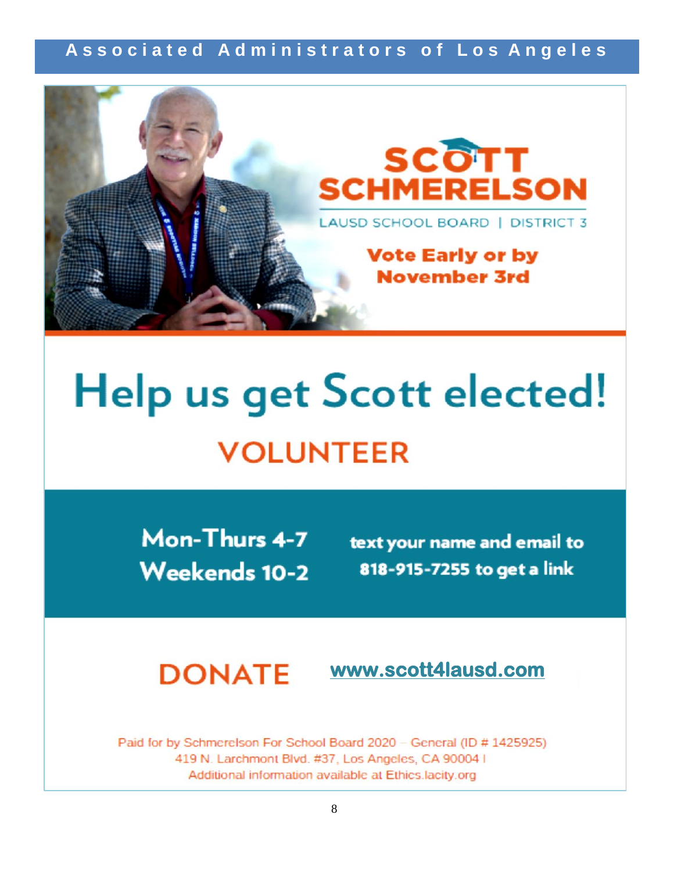## **A s s o c i a t e d A d m i n i s t r a t o r s o f L o s A n g e l e s**



# Help us get Scott elected! **VOLUNTEER**

Mon-Thurs 4-7 **Weekends 10-2** 

text your name and email to 818-915-7255 to get a link

#### **DONATE [www.scott4lausd.com](http://www.scott4lausd.com/)**

Paid for by Schmerelson For School Board 2020 - General (ID # 1425925) 419 N. Larchmont Blvd. #37, Los Angeles, CA 90004 I Additional information available at Ethics.lacity.org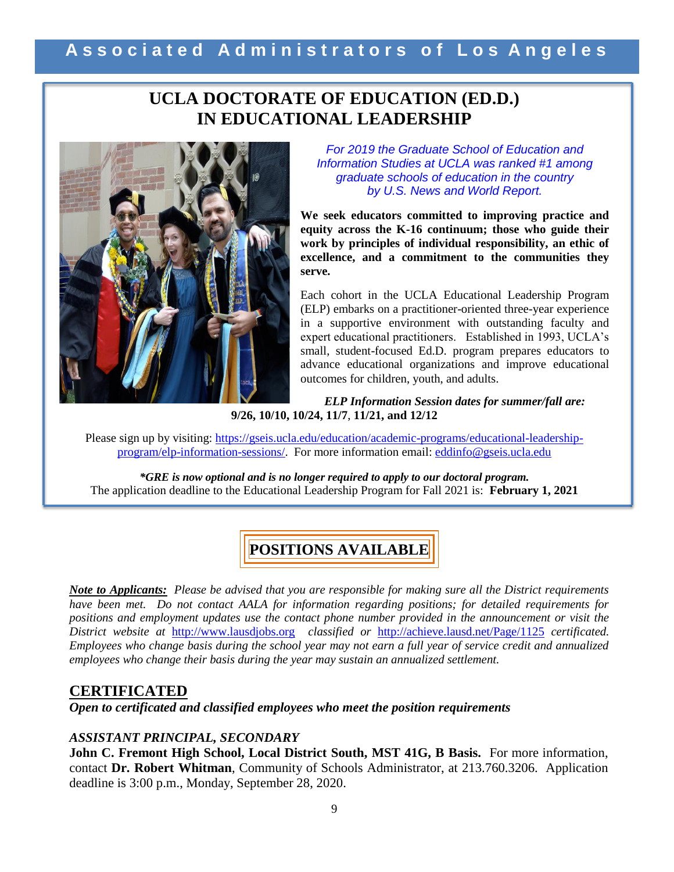## **UCLA DOCTORATE OF EDUCATION (ED.D.) IN EDUCATIONAL LEADERSHIP**



*For 2019 the Graduate School of Education and Information Studies at UCLA was ranked #1 among graduate schools of education in the country by U.S. News and World Report.*

**We seek educators committed to improving practice and equity across the K-16 continuum; those who guide their work by principles of individual responsibility, an ethic of excellence, and a commitment to the communities they serve.** 

Each cohort in the UCLA Educational Leadership Program (ELP) embarks on a practitioner-oriented three-year experience in a supportive environment with outstanding faculty and expert educational practitioners. Established in 1993, UCLA's small, student-focused Ed.D. program prepares educators to advance educational organizations and improve educational outcomes for children, youth, and adults.

*ELP Information Session dates for summer/fall are:* **9/26, 10/10, 10/24, 11/7**, **11/21, and 12/12**

Please sign up by visiting: [https://gseis.ucla.edu/education/academic-programs/educational-leadership](https://gseis.ucla.edu/education/academic-programs/educational-leadership-program/elp-information-sessions/)[program/elp-information-sessions/.](https://gseis.ucla.edu/education/academic-programs/educational-leadership-program/elp-information-sessions/) For more information email: [eddinfo@gseis.ucla.edu](mailto:eddinfo@gseis.ucla.edu)

*\*GRE is now optional and is no longer required to apply to our doctoral program.* The application deadline to the Educational Leadership Program for Fall 2021 is: **February 1, 2021**

# **POSITIONS AVAILABLE**

*Note to Applicants: Please be advised that you are responsible for making sure all the District requirements have been met. Do not contact AALA for information regarding positions; for detailed requirements for positions and employment updates use the contact phone number provided in the announcement or visit the District website at* [http://www.lausdjobs.org](http://www.lausdjobs.org/) *classified or* <http://achieve.lausd.net/Page/1125> *certificated. Employees who change basis during the school year may not earn a full year of service credit and annualized employees who change their basis during the year may sustain an annualized settlement.* 

## **CERTIFICATED**

*Open to certificated and classified employees who meet the position requirements*

## *ASSISTANT PRINCIPAL, SECONDARY*

**John C. Fremont High School, Local District South, MST 41G, B Basis.** For more information, contact **Dr. Robert Whitman**, Community of Schools Administrator, at 213.760.3206. Application deadline is 3:00 p.m., Monday, September 28, 2020.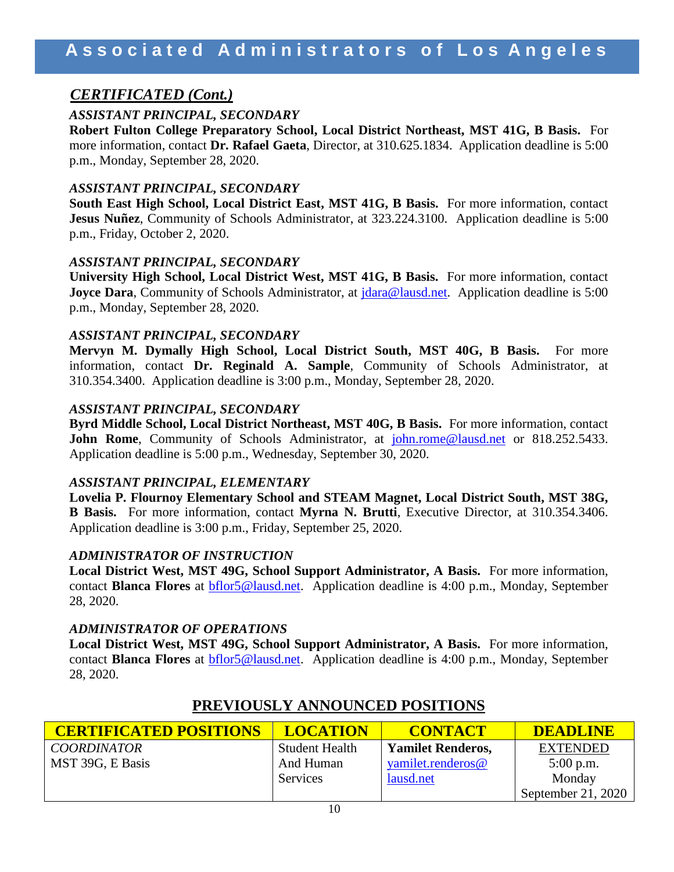## *CERTIFICATED (Cont.)*

## *ASSISTANT PRINCIPAL, SECONDARY*

**Robert Fulton College Preparatory School, Local District Northeast, MST 41G, B Basis.** For more information, contact **Dr. Rafael Gaeta**, Director, at 310.625.1834. Application deadline is 5:00 p.m., Monday, September 28, 2020.

## *ASSISTANT PRINCIPAL, SECONDARY*

**South East High School, Local District East, MST 41G, B Basis.** For more information, contact **Jesus Nuñez**, Community of Schools Administrator, at 323.224.3100. Application deadline is 5:00 p.m., Friday, October 2, 2020.

## *ASSISTANT PRINCIPAL, SECONDARY*

**University High School, Local District West, MST 41G, B Basis.** For more information, contact **Joyce Dara, Community of Schools Administrator, at** *dara@lausd.net.* **Application deadline is 5:00** p.m., Monday, September 28, 2020.

## *ASSISTANT PRINCIPAL, SECONDARY*

**Mervyn M. Dymally High School, Local District South, MST 40G, B Basis.** For more information, contact **Dr. Reginald A. Sample**, Community of Schools Administrator, at 310.354.3400. Application deadline is 3:00 p.m., Monday, September 28, 2020.

## *ASSISTANT PRINCIPAL, SECONDARY*

**Byrd Middle School, Local District Northeast, MST 40G, B Basis.** For more information, contact **John Rome**, Community of Schools Administrator, at [john.rome@lausd.net](mailto:john.rome@lausd.net) or 818.252.5433. Application deadline is 5:00 p.m., Wednesday, September 30, 2020.

## *ASSISTANT PRINCIPAL, ELEMENTARY*

**Lovelia P. Flournoy Elementary School and STEAM Magnet, Local District South, MST 38G, B Basis.** For more information, contact **Myrna N. Brutti**, Executive Director, at 310.354.3406. Application deadline is 3:00 p.m., Friday, September 25, 2020.

#### *ADMINISTRATOR OF INSTRUCTION*

**Local District West, MST 49G, School Support Administrator, A Basis.** For more information, contact **Blanca Flores** at [bflor5@lausd.net.](mailto:bflor5@lausd.net) Application deadline is 4:00 p.m., Monday, September 28, 2020.

#### *ADMINISTRATOR OF OPERATIONS*

**Local District West, MST 49G, School Support Administrator, A Basis.** For more information, contact **Blanca Flores** at [bflor5@lausd.net.](mailto:bflor5@lausd.net) Application deadline is 4:00 p.m., Monday, September 28, 2020.

| <b>CERTIFICATED POSITIONS</b> | <b>LOCATION</b>       | <b>CONTACT</b>           | <b>DEADLINE</b>    |
|-------------------------------|-----------------------|--------------------------|--------------------|
| <b>COORDINATOR</b>            | <b>Student Health</b> | <b>Yamilet Renderos,</b> | <b>EXTENDED</b>    |
| MST 39G, E Basis              | And Human             | yamilet.renderos@        | $5:00$ p.m.        |
|                               | Services              | lausd.net                | Monday             |
|                               |                       |                          | September 21, 2020 |

## **PREVIOUSLY ANNOUNCED POSITIONS**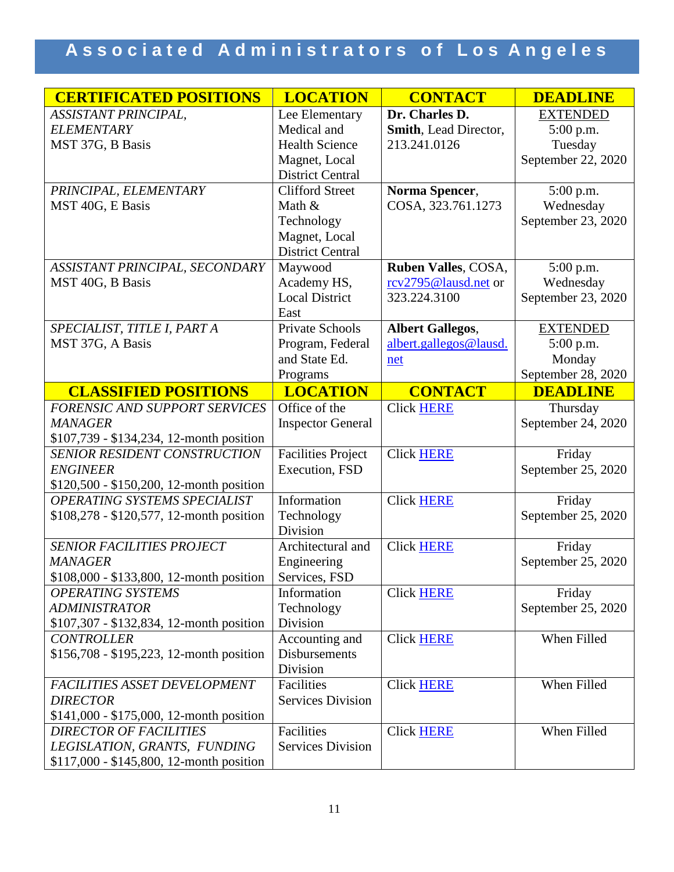# Associated Administrators of Los Angeles

| <b>CERTIFICATED POSITIONS</b>             | <b>LOCATION</b>           | <b>CONTACT</b>               | <b>DEADLINE</b>    |
|-------------------------------------------|---------------------------|------------------------------|--------------------|
| ASSISTANT PRINCIPAL,                      | Lee Elementary            | Dr. Charles D.               | <b>EXTENDED</b>    |
| <b>ELEMENTARY</b>                         | Medical and               | <b>Smith, Lead Director,</b> | 5:00 p.m.          |
| MST 37G, B Basis                          | <b>Health Science</b>     | 213.241.0126                 | Tuesday            |
|                                           | Magnet, Local             |                              | September 22, 2020 |
|                                           | <b>District Central</b>   |                              |                    |
| PRINCIPAL, ELEMENTARY                     | <b>Clifford Street</b>    | Norma Spencer,               | 5:00 p.m.          |
| MST 40G, E Basis                          | Math &                    | COSA, 323.761.1273           | Wednesday          |
|                                           | Technology                |                              | September 23, 2020 |
|                                           | Magnet, Local             |                              |                    |
|                                           | <b>District Central</b>   |                              |                    |
| ASSISTANT PRINCIPAL, SECONDARY            | Maywood                   | Ruben Valles, COSA,          | 5:00 p.m.          |
| MST 40G, B Basis                          | Academy HS,               | rcv2795@lausd.net or         | Wednesday          |
|                                           | <b>Local District</b>     | 323.224.3100                 | September 23, 2020 |
|                                           | East                      |                              |                    |
| SPECIALIST, TITLE I, PART A               | <b>Private Schools</b>    | <b>Albert Gallegos,</b>      | <b>EXTENDED</b>    |
| MST 37G, A Basis                          | Program, Federal          | albert.gallegos@lausd.       | 5:00 p.m.          |
|                                           | and State Ed.             | net                          | Monday             |
|                                           | Programs                  |                              | September 28, 2020 |
| <b>CLASSIFIED POSITIONS</b>               | <b>LOCATION</b>           | <b>CONTACT</b>               | <b>DEADLINE</b>    |
| FORENSIC AND SUPPORT SERVICES             | Office of the             | Click HERE                   | Thursday           |
| <b>MANAGER</b>                            | <b>Inspector General</b>  |                              | September 24, 2020 |
| \$107,739 - \$134,234, 12-month position  |                           |                              |                    |
| <b>SENIOR RESIDENT CONSTRUCTION</b>       | <b>Facilities Project</b> | <b>Click HERE</b>            | Friday             |
| <b>ENGINEER</b>                           | Execution, FSD            |                              | September 25, 2020 |
| \$120,500 - \$150,200, 12-month position  |                           |                              |                    |
| OPERATING SYSTEMS SPECIALIST              | Information               | <b>Click HERE</b>            | Friday             |
| \$108,278 - \$120,577, 12-month position  | Technology                |                              | September 25, 2020 |
|                                           | Division                  |                              |                    |
| <b>SENIOR FACILITIES PROJECT</b>          | Architectural and         | <b>Click HERE</b>            | Friday             |
| <b>MANAGER</b>                            | Engineering               |                              | September 25, 2020 |
| \$108,000 - \$133,800, 12-month position  | Services, FSD             |                              |                    |
| <b>OPERATING SYSTEMS</b>                  | Information               | <b>Click HERE</b>            | Friday             |
| <b>ADMINISTRATOR</b>                      | Technology                |                              | September 25, 2020 |
| \$107,307 - \$132,834, 12-month position  | Division                  |                              |                    |
| <b>CONTROLLER</b>                         | Accounting and            | <b>Click HERE</b>            | When Filled        |
| \$156,708 - \$195,223, 12-month position  | <b>Disbursements</b>      |                              |                    |
|                                           | Division                  |                              |                    |
| FACILITIES ASSET DEVELOPMENT              | Facilities                | <b>Click HERE</b>            | When Filled        |
| <b>DIRECTOR</b>                           | <b>Services Division</b>  |                              |                    |
| $$141,000 - $175,000, 12$ -month position |                           |                              |                    |
| <b>DIRECTOR OF FACILITIES</b>             | Facilities                | <b>Click HERE</b>            | When Filled        |
| LEGISLATION, GRANTS, FUNDING              | <b>Services Division</b>  |                              |                    |
| \$117,000 - \$145,800, 12-month position  |                           |                              |                    |